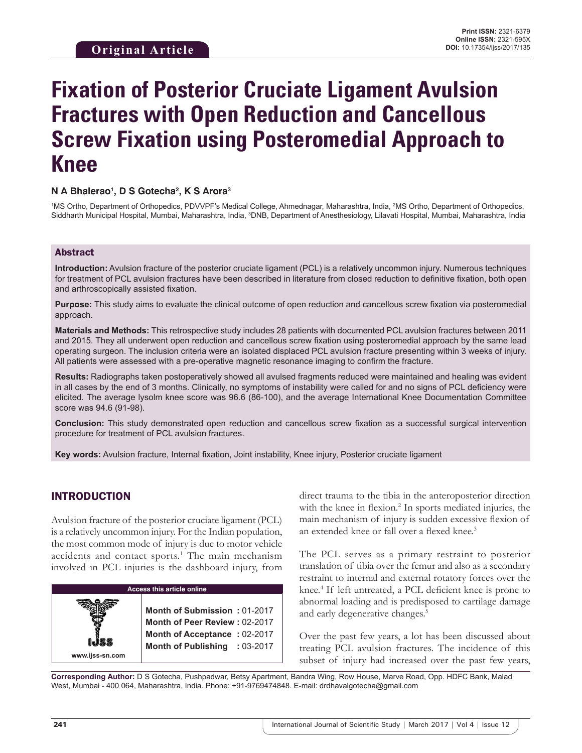# **Fixation of Posterior Cruciate Ligament Avulsion Fractures with Open Reduction and Cancellous Screw Fixation using Posteromedial Approach to Knee**

#### **N A Bhalerao1 , D S Gotecha2 , K S Arora3**

<sup>1</sup>MS Ortho, Department of Orthopedics, PDVVPF's Medical College, Ahmednagar, Maharashtra, India, <sup>2</sup>MS Ortho, Department of Orthopedics, Siddharth Municipal Hospital, Mumbai, Maharashtra, India, <sup>3</sup>DNB, Department of Anesthesiology, Lilavati Hospital, Mumbai, Maharashtra, India

#### Abstract

**Introduction:** Avulsion fracture of the posterior cruciate ligament (PCL) is a relatively uncommon injury. Numerous techniques for treatment of PCL avulsion fractures have been described in literature from closed reduction to definitive fixation, both open and arthroscopically assisted fixation.

**Purpose:** This study aims to evaluate the clinical outcome of open reduction and cancellous screw fixation via posteromedial approach.

**Materials and Methods:** This retrospective study includes 28 patients with documented PCL avulsion fractures between 2011 and 2015. They all underwent open reduction and cancellous screw fixation using posteromedial approach by the same lead operating surgeon. The inclusion criteria were an isolated displaced PCL avulsion fracture presenting within 3 weeks of injury. All patients were assessed with a pre-operative magnetic resonance imaging to confirm the fracture.

**Results:** Radiographs taken postoperatively showed all avulsed fragments reduced were maintained and healing was evident in all cases by the end of 3 months. Clinically, no symptoms of instability were called for and no signs of PCL deficiency were elicited. The average lysolm knee score was 96.6 (86-100), and the average International Knee Documentation Committee score was 94.6 (91-98).

**Conclusion:** This study demonstrated open reduction and cancellous screw fixation as a successful surgical intervention procedure for treatment of PCL avulsion fractures.

**Key words:** Avulsion fracture, Internal fixation, Joint instability, Knee injury, Posterior cruciate ligament

### INTRODUCTION

Avulsion fracture of the posterior cruciate ligament (PCL) is a relatively uncommon injury. For the Indian population, the most common mode of injury is due to motor vehicle accidents and contact sports.<sup>1</sup> The main mechanism involved in PCL injuries is the dashboard injury, from



direct trauma to the tibia in the anteroposterior direction with the knee in flexion.<sup>2</sup> In sports mediated injuries, the main mechanism of injury is sudden excessive flexion of an extended knee or fall over a flexed knee.<sup>3</sup>

The PCL serves as a primary restraint to posterior translation of tibia over the femur and also as a secondary restraint to internal and external rotatory forces over the knee.<sup>4</sup> If left untreated, a PCL deficient knee is prone to abnormal loading and is predisposed to cartilage damage and early degenerative changes.<sup>5</sup>

Over the past few years, a lot has been discussed about treating PCL avulsion fractures. The incidence of this subset of injury had increased over the past few years,

**Corresponding Author:** D S Gotecha, Pushpadwar, Betsy Apartment, Bandra Wing, Row House, Marve Road, Opp. HDFC Bank, Malad West, Mumbai - 400 064, Maharashtra, India. Phone: +91-9769474848. E-mail: drdhavalgotecha@gmail.com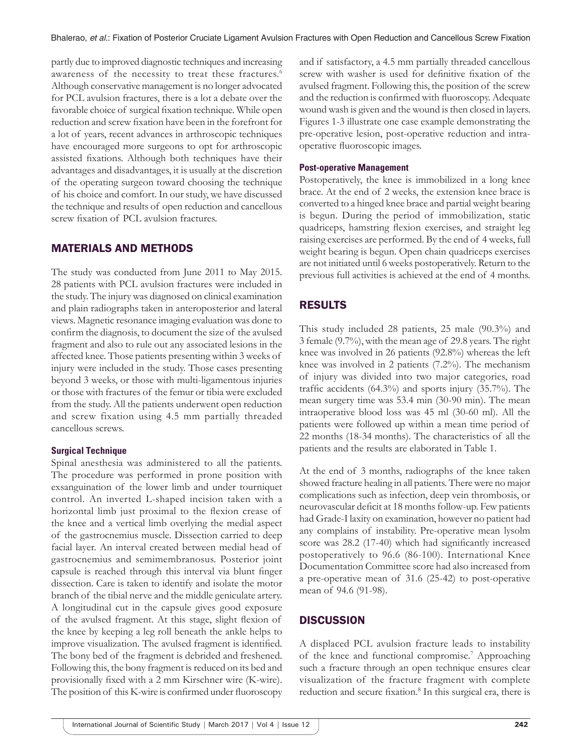partly due to improved diagnostic techniques and increasing awareness of the necessity to treat these fractures.<sup>6</sup> Although conservative management is no longer advocated for PCL avulsion fractures, there is a lot a debate over the favorable choice of surgical fixation technique. While open reduction and screw fixation have been in the forefront for a lot of years, recent advances in arthroscopic techniques have encouraged more surgeons to opt for arthroscopic assisted fixations. Although both techniques have their advantages and disadvantages, it is usually at the discretion of the operating surgeon toward choosing the technique of his choice and comfort. In our study, we have discussed the technique and results of open reduction and cancellous screw fixation of PCL avulsion fractures.

## MATERIALS AND METHODS

The study was conducted from June 2011 to May 2015. 28 patients with PCL avulsion fractures were included in the study. The injury was diagnosed on clinical examination and plain radiographs taken in anteroposterior and lateral views. Magnetic resonance imaging evaluation was done to confirm the diagnosis, to document the size of the avulsed fragment and also to rule out any associated lesions in the affected knee. Those patients presenting within 3 weeks of injury were included in the study. Those cases presenting beyond 3 weeks, or those with multi-ligamentous injuries or those with fractures of the femur or tibia were excluded from the study. All the patients underwent open reduction and screw fixation using 4.5 mm partially threaded cancellous screws.

#### **Surgical Technique**

Spinal anesthesia was administered to all the patients. The procedure was performed in prone position with exsanguination of the lower limb and under tourniquet control. An inverted L-shaped incision taken with a horizontal limb just proximal to the flexion crease of the knee and a vertical limb overlying the medial aspect of the gastrocnemius muscle. Dissection carried to deep facial layer. An interval created between medial head of gastrocnemius and semimembranosus. Posterior joint capsule is reached through this interval via blunt finger dissection. Care is taken to identify and isolate the motor branch of the tibial nerve and the middle geniculate artery. A longitudinal cut in the capsule gives good exposure of the avulsed fragment. At this stage, slight flexion of the knee by keeping a leg roll beneath the ankle helps to improve visualization. The avulsed fragment is identified. The bony bed of the fragment is debrided and freshened. Following this, the bony fragment is reduced on its bed and provisionally fixed with a 2 mm Kirschner wire (K-wire). The position of this K-wire is confirmed under fluoroscopy

and if satisfactory, a 4.5 mm partially threaded cancellous screw with washer is used for definitive fixation of the avulsed fragment. Following this, the position of the screw and the reduction is confirmed with fluoroscopy. Adequate wound wash is given and the wound is then closed in layers. Figures 1-3 illustrate one case example demonstrating the pre-operative lesion, post-operative reduction and intraoperative fluoroscopic images.

#### **Post-operative Management**

Postoperatively, the knee is immobilized in a long knee brace. At the end of 2 weeks, the extension knee brace is converted to a hinged knee brace and partial weight bearing is begun. During the period of immobilization, static quadriceps, hamstring flexion exercises, and straight leg raising exercises are performed. By the end of 4 weeks, full weight bearing is begun. Open chain quadriceps exercises are not initiated until 6 weeks postoperatively. Return to the previous full activities is achieved at the end of 4 months.

# RESULTS

This study included 28 patients, 25 male (90.3%) and 3 female (9.7%), with the mean age of 29.8 years. The right knee was involved in 26 patients (92.8%) whereas the left knee was involved in 2 patients (7.2%). The mechanism of injury was divided into two major categories, road traffic accidents  $(64.3\%)$  and sports injury  $(35.7\%)$ . The mean surgery time was 53.4 min (30-90 min). The mean intraoperative blood loss was 45 ml (30-60 ml). All the patients were followed up within a mean time period of 22 months (18-34 months). The characteristics of all the patients and the results are elaborated in Table 1.

At the end of 3 months, radiographs of the knee taken showed fracture healing in all patients. There were no major complications such as infection, deep vein thrombosis, or neurovascular deficit at 18 months follow-up. Few patients had Grade-I laxity on examination, however no patient had any complains of instability. Pre-operative mean lysolm score was 28.2 (17-40) which had significantly increased postoperatively to 96.6 (86-100). International Knee Documentation Committee score had also increased from a pre-operative mean of 31.6 (25-42) to post-operative mean of 94.6 (91-98).

## **DISCUSSION**

A displaced PCL avulsion fracture leads to instability of the knee and functional compromise.<sup>7</sup> Approaching such a fracture through an open technique ensures clear visualization of the fracture fragment with complete reduction and secure fixation.<sup>8</sup> In this surgical era, there is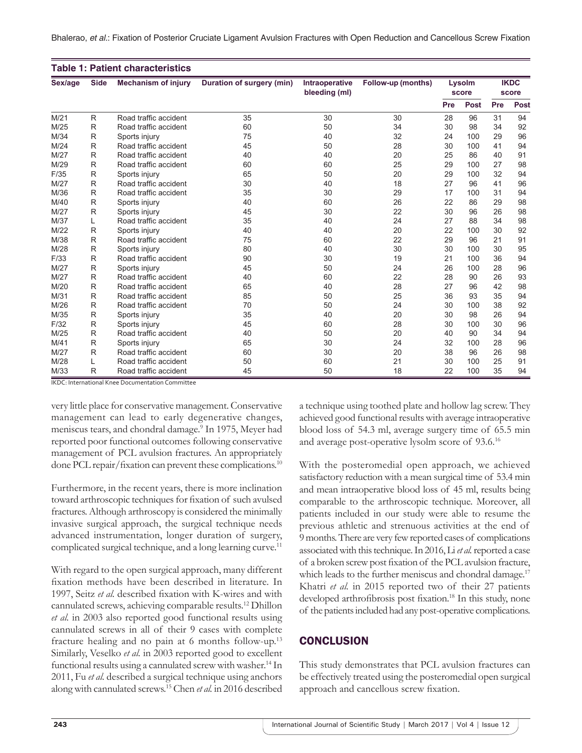Bhalerao, *et al.*: Fixation of Posterior Cruciate Ligament Avulsion Fractures with Open Reduction and Cancellous Screw Fixation

| <b>Table 1: Patient characteristics</b> |             |                            |                           |                                 |                    |                 |             |                      |             |
|-----------------------------------------|-------------|----------------------------|---------------------------|---------------------------------|--------------------|-----------------|-------------|----------------------|-------------|
| Sex/age                                 | <b>Side</b> | <b>Mechanism of injury</b> | Duration of surgery (min) | Intraoperative<br>bleeding (ml) | Follow-up (months) | Lysolm<br>score |             | <b>IKDC</b><br>score |             |
|                                         |             |                            |                           |                                 |                    | Pre             | <b>Post</b> | Pre                  | <b>Post</b> |
| M/21                                    | R           | Road traffic accident      | 35                        | 30                              | 30                 | 28              | 96          | 31                   | 94          |
| M/25                                    | R           | Road traffic accident      | 60                        | 50                              | 34                 | 30              | 98          | 34                   | 92          |
| M/34                                    | R           | Sports injury              | 75                        | 40                              | 32                 | 24              | 100         | 29                   | 96          |
| M/24                                    | R           | Road traffic accident      | 45                        | 50                              | 28                 | 30              | 100         | 41                   | 94          |
| M/27                                    | R           | Road traffic accident      | 40                        | 40                              | 20                 | 25              | 86          | 40                   | 91          |
| M/29                                    | R           | Road traffic accident      | 60                        | 60                              | 25                 | 29              | 100         | 27                   | 98          |
| F/35                                    | R           | Sports injury              | 65                        | 50                              | 20                 | 29              | 100         | 32                   | 94          |
| M/27                                    | R           | Road traffic accident      | 30                        | 40                              | 18                 | 27              | 96          | 41                   | 96          |
| M/36                                    | R           | Road traffic accident      | 35                        | 30                              | 29                 | 17              | 100         | 31                   | 94          |
| M/40                                    | R           | Sports injury              | 40                        | 60                              | 26                 | 22              | 86          | 29                   | 98          |
| M/27                                    | R           | Sports injury              | 45                        | 30                              | 22                 | 30              | 96          | 26                   | 98          |
| M/37                                    | L           | Road traffic accident      | 35                        | 40                              | 24                 | 27              | 88          | 34                   | 98          |
| M/22                                    | R           | Sports injury              | 40                        | 40                              | 20                 | 22              | 100         | 30                   | 92          |
| M/38                                    | R           | Road traffic accident      | 75                        | 60                              | 22                 | 29              | 96          | 21                   | 91          |
| M/28                                    | R           | Sports injury              | 80                        | 40                              | 30                 | 30              | 100         | 30                   | 95          |
| F/33                                    | R           | Road traffic accident      | 90                        | 30                              | 19                 | 21              | 100         | 36                   | 94          |
| M/27                                    | R           | Sports injury              | 45                        | 50                              | 24                 | 26              | 100         | 28                   | 96          |
| M/27                                    | R           | Road traffic accident      | 40                        | 60                              | 22                 | 28              | 90          | 26                   | 93          |
| M/20                                    | R           | Road traffic accident      | 65                        | 40                              | 28                 | 27              | 96          | 42                   | 98          |
| M/31                                    | R           | Road traffic accident      | 85                        | 50                              | 25                 | 36              | 93          | 35                   | 94          |
| M/26                                    | R           | Road traffic accident      | 70                        | 50                              | 24                 | 30              | 100         | 38                   | 92          |
| M/35                                    | R           | Sports injury              | 35                        | 40                              | 20                 | 30              | 98          | 26                   | 94          |
| F/32                                    | R           | Sports injury              | 45                        | 60                              | 28                 | 30              | 100         | 30                   | 96          |
| M/25                                    | R           | Road traffic accident      | 40                        | 50                              | 20                 | 40              | 90          | 34                   | 94          |
| M/41                                    | R           | Sports injury              | 65                        | 30                              | 24                 | 32              | 100         | 28                   | 96          |
| M/27                                    | R           | Road traffic accident      | 60                        | 30                              | 20                 | 38              | 96          | 26                   | 98          |
| M/28                                    | L           | Road traffic accident      | 50                        | 60                              | 21                 | 30              | 100         | 25                   | 91          |
| M/33                                    | R           | Road traffic accident      | 45                        | 50                              | 18                 | 22              | 100         | 35                   | 94          |

IKDC: International Knee Documentation Committee

very little place for conservative management. Conservative management can lead to early degenerative changes, meniscus tears, and chondral damage.<sup>9</sup> In 1975, Meyer had reported poor functional outcomes following conservative management of PCL avulsion fractures. An appropriately done PCL repair/fixation can prevent these complications.<sup>10</sup>

Furthermore, in the recent years, there is more inclination toward arthroscopic techniques for fixation of such avulsed fractures. Although arthroscopy is considered the minimally invasive surgical approach, the surgical technique needs advanced instrumentation, longer duration of surgery, complicated surgical technique, and a long learning curve.<sup>11</sup>

With regard to the open surgical approach, many different fixation methods have been described in literature. In 1997, Seitz *et al.* described fixation with K-wires and with cannulated screws, achieving comparable results.<sup>12</sup> Dhillon *et al.* in 2003 also reported good functional results using cannulated screws in all of their 9 cases with complete fracture healing and no pain at 6 months follow-up.<sup>13</sup> Similarly, Veselko *et al.* in 2003 reported good to excellent functional results using a cannulated screw with washer.<sup>14</sup> In 2011, Fu *et al.* described a surgical technique using anchors along with cannulated screws.15 Chen *et al.* in 2016 described a technique using toothed plate and hollow lag screw. They achieved good functional results with average intraoperative blood loss of 54.3 ml, average surgery time of 65.5 min and average post-operative lysolm score of 93.6.<sup>16</sup>

With the posteromedial open approach, we achieved satisfactory reduction with a mean surgical time of 53.4 min and mean intraoperative blood loss of 45 ml, results being comparable to the arthroscopic technique. Moreover, all patients included in our study were able to resume the previous athletic and strenuous activities at the end of 9months. There are very few reported cases of complications associated with this technique. In 2016, Li *et al.* reported a case of a broken screw post fixation of the PCL avulsion fracture, which leads to the further meniscus and chondral damage.<sup>17</sup> Khatri *et al.* in 2015 reported two of their 27 patients developed arthrofibrosis post fixation.<sup>18</sup> In this study, none of the patients included had any post-operative complications.

# **CONCLUSION**

This study demonstrates that PCL avulsion fractures can be effectively treated using the posteromedial open surgical approach and cancellous screw fixation.